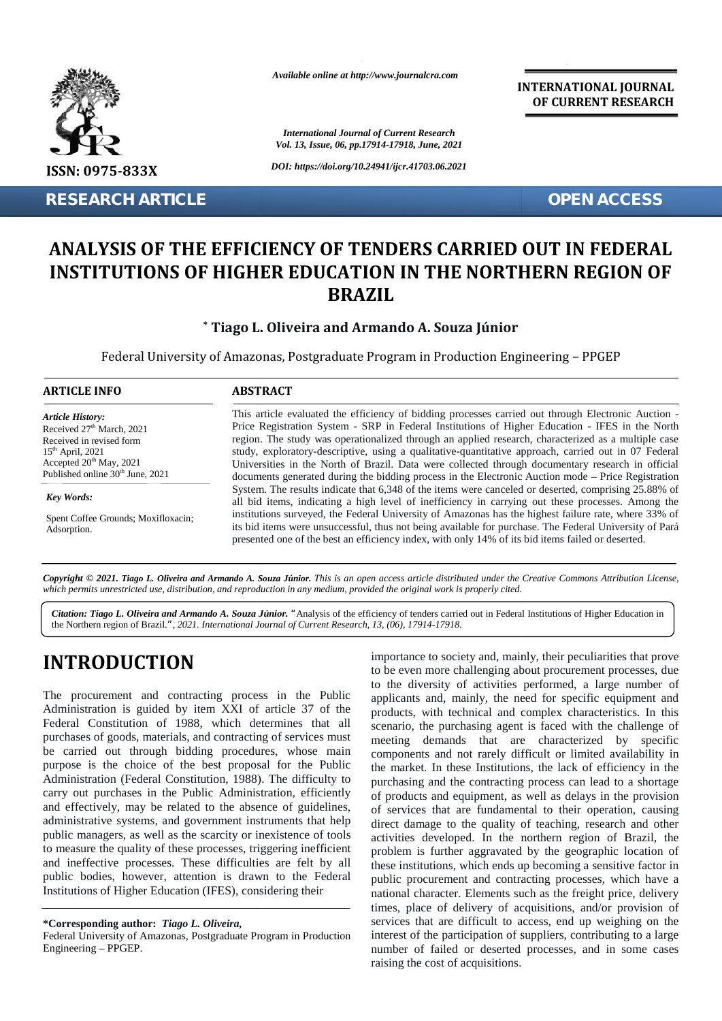

**RESEARCH ARTICLE OPEN ACCESS**

*Available online at http://www.journalcra.com*

*International Journal of Current Research International Journal of Vol. 13, Issue, 06, pp.17914-17918, June, 2021*

*DOI: https://doi.org/10.24941/ijcr.41703.06.2021*

**INTERNATIONAL JOURNAL OF CURRENT RESEARCH**

# ANALYSIS OF THE EFFICIENCY OF TENDERS CARRIED OUT IN FEDERAL **INSTITUTIONS OF HIGHER EDUCATION IN THE NORTHERN REGION OF BRAZIL**

#### **\* Tiago L. Oliveira and Armando A. Souza Júnior**

| <b>RESEARCH ARTICLE</b>                                                                                                                                                                                   | <b>OPEN ACCESS</b>                                                                                                                                                                                                                                                                                                                                                                                                                                                                                                                                                                                                               |
|-----------------------------------------------------------------------------------------------------------------------------------------------------------------------------------------------------------|----------------------------------------------------------------------------------------------------------------------------------------------------------------------------------------------------------------------------------------------------------------------------------------------------------------------------------------------------------------------------------------------------------------------------------------------------------------------------------------------------------------------------------------------------------------------------------------------------------------------------------|
|                                                                                                                                                                                                           | ANALYSIS OF THE EFFICIENCY OF TENDERS CARRIED OUT IN FEDERAL<br><b>INSTITUTIONS OF HIGHER EDUCATION IN THE NORTHERN REGION OF</b><br><b>BRAZIL</b>                                                                                                                                                                                                                                                                                                                                                                                                                                                                               |
|                                                                                                                                                                                                           | * Tiago L. Oliveira and Armando A. Souza Júnior                                                                                                                                                                                                                                                                                                                                                                                                                                                                                                                                                                                  |
|                                                                                                                                                                                                           | Federal University of Amazonas, Postgraduate Program in Production Engineering - PPGEP                                                                                                                                                                                                                                                                                                                                                                                                                                                                                                                                           |
| <b>ARTICLE INFO</b>                                                                                                                                                                                       | <b>ABSTRACT</b>                                                                                                                                                                                                                                                                                                                                                                                                                                                                                                                                                                                                                  |
| <b>Article History:</b><br>Received 27 <sup>th</sup> March, 2021<br>Received in revised form<br>$15th$ April, 2021<br>Accepted 20 <sup>th</sup> May, 2021<br>Published online 30 <sup>th</sup> June, 2021 | This article evaluated the efficiency of bidding processes carried out through Electronic Auction -<br>Price Registration System - SRP in Federal Institutions of Higher Education - IFES in the North<br>region. The study was operationalized through an applied research, characterized as a multiple case<br>study, exploratory-descriptive, using a qualitative-quantitative approach, carried out in 07 Federal<br>Universities in the North of Brazil. Data were collected through documentary research in official<br>documents generated during the bidding process in the Electronic Auction mode - Price Registration |
| Key Words:<br>Spent Coffee Grounds; Moxifloxacin;<br>Adsorption.                                                                                                                                          | System. The results indicate that 6,348 of the items were canceled or deserted, comprising 25.88% of<br>all bid items, indicating a high level of inefficiency in carrying out these processes. Among the<br>institutions surveyed, the Federal University of Amazonas has the highest failure rate, where 33% of<br>its bid items were unsuccessful, thus not being available for purchase. The Federal University of Pará<br>presented one of the best an efficiency index, with only 14% of its bid items failed or deserted.                                                                                                 |

Copyright © 2021. Tiago L. Oliveira and Armando A. Souza Júnior. This is an open access article distributed under the Creative Commons Attribution License, which permits unrestricted use, distribution, and reproduction in any medium, provided the original work is properly cited.

*Citation: Tiago L. Oliveira and Armando A. Souza Júnior. "*Analysis of the efficiency of tenders carried out in Federal Institutions of Higher Education in the Northern region of Brazil.*", 2021. International Journal of Current Research, 13, (06), 17914-17918. L. A. P. Andrews and S. Andrews and Armando A. Souza Júnior.* "Analysis of the efficiency of tenders carried out in Federal Institutions of Higher Education in the Northern region of Brazil.", 2021. International Journal

# **INTRODUCTION INTRODUCTION**

The procurement and contracting process in the Public Administration is guided by item XXI of article 37 of the The procurement and contracting process in the Public<br>Administration is guided by item XXI of article 37 of the Federal Constitution of 1988, which determines that all  $\frac{1}{8}$ purchases of goods, materials, and contracting of services must be carried out through bidding procedures, whose main comm purpose is the choice of the best proposal for the Public Administration (Federal Constitution, 1988). The difficulty to carry out purchases in the Public Administration, efficiently and effectively, may be related to the absence of guidelines, administrative systems, and government instruments that help public managers, as well as the scarcity or inexistence of tools act to measure the quality of these processes, triggering inefficient and ineffective processes. These difficulties are felt by all public bodies, however, attention is drawn to the Federal Institutions of Higher Education (IFES), considering their purchases of goods, materials, and contracting of services must<br>be carried out through bidding procedures, whose main<br>purpose is the choice of the best proposal for the Public<br>Administration (Federal Constitution, 1988). T administrative systems, and government instruments that public managers, as well as the scarcity or inexistence of to measure the quality of these processes, triggering inefficiend ineffective processes. These difficulties

**\*Corresponding author:** *Tiago L. Oliveira,* **\*Corresponding** *L. Oliveira,*

importance to society and, mainly, their peculiarities that prove to be even more challenging about procurement processes, due to the diversity of activities performed, a large number of applicants and, mainly, the need for specific equipment and products, with technical and complex characteristics. In this scenario, the purchasing agent is faced with the challenge of meeting demands that are characterized by specific components and not rarely difficult or limited availability in the market. In these Institutions, the lack of efficiency in the purchasing and the contracting process can lead to a shortage of products and equipment, as well as delays in the provision of services that are fundamental to their operation, causing direct damage to the quality of teaching, research and other activities developed. In the northern region of Brazil, the problem is further aggravated by the geographic location of these institutions, which ends up becoming a sensitive factor in public procurement and contracting processes, which have a national character. Elements such as the freight price, delivery times, place of delivery of acquisitions, and/or provision of services that are difficult to access, end up weighing on the interest of the participation of suppliers, contributing to a large number of failed or deserted processes, and in some cases raising the cost of acquisitions. **INTRODUCTION**<br>
importance to society and, mainly, their peculiarities that prove<br>
The procurement and contracting process in the Public the diversity of activities performed, a large number of<br>
Administration is guided b the market. In these Institutions, the lack of efficiency in the purchasing and the contracting process can lead to a shortage of products and equipment, as well as delays in the provision of services that are fundamental L", 2021. International Journal of Current Research, 13, (06), 17914-17918.<br>
importance to society and, mainly, their peculiarities<br>
to be even more challenging about procurement proc<br>
contracting process in the Public uni

Federal University of Amazonas, Postgraduate Program in Production Engineering – PPGEP.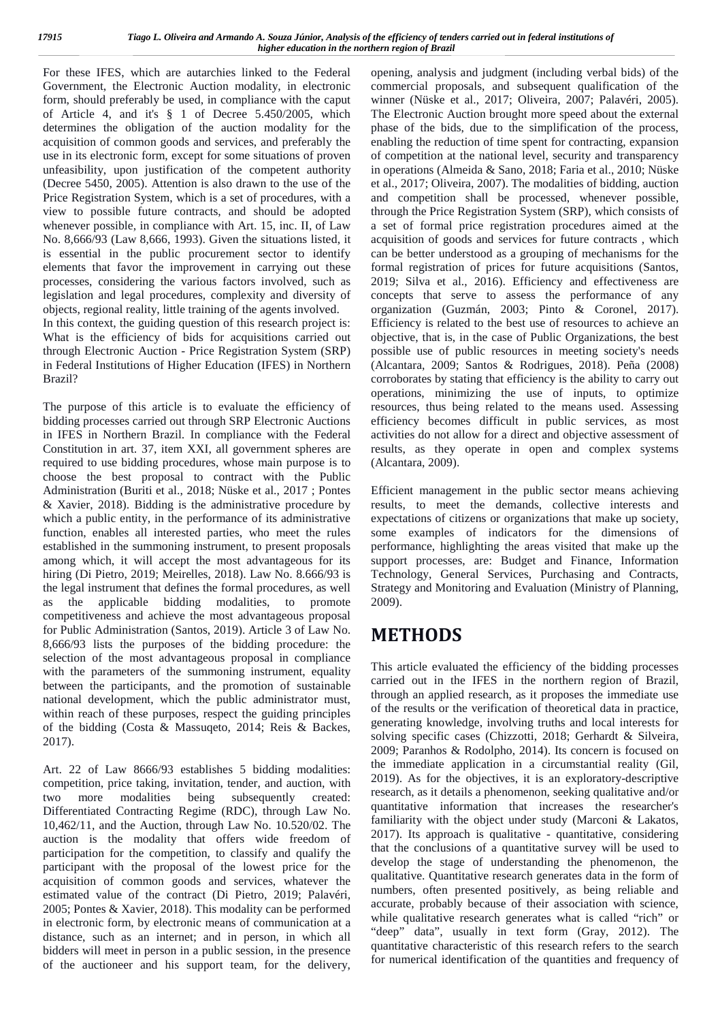For these IFES, which are autarchies linked to the Federal Government, the Electronic Auction modality, in electronic form, should preferably be used, in compliance with the caput of Article 4, and it's § 1 of Decree 5.450/2005, which determines the obligation of the auction modality for the acquisition of common goods and services, and preferably the use in its electronic form, except for some situations of proven unfeasibility, upon justification of the competent authority (Decree 5450, 2005). Attention is also drawn to the use of the Price Registration System, which is a set of procedures, with a view to possible future contracts, and should be adopted whenever possible, in compliance with Art. 15, inc. II, of Law No. 8,666/93 (Law 8,666, 1993). Given the situations listed, it is essential in the public procurement sector to identify elements that favor the improvement in carrying out these processes, considering the various factors involved, such as legislation and legal procedures, complexity and diversity of objects, regional reality, little training of the agents involved.

In this context, the guiding question of this research project is: What is the efficiency of bids for acquisitions carried out through Electronic Auction - Price Registration System (SRP) in Federal Institutions of Higher Education (IFES) in Northern Brazil?

The purpose of this article is to evaluate the efficiency of bidding processes carried out through SRP Electronic Auctions in IFES in Northern Brazil. In compliance with the Federal Constitution in art. 37, item XXI, all government spheres are required to use bidding procedures, whose main purpose is to choose the best proposal to contract with the Public Administration (Buriti et al., 2018; Nüske et al., 2017 ; Pontes & Xavier, 2018). Bidding is the administrative procedure by which a public entity, in the performance of its administrative function, enables all interested parties, who meet the rules established in the summoning instrument, to present proposals among which, it will accept the most advantageous for its hiring (Di Pietro, 2019; Meirelles, 2018). Law No. 8.666/93 is the legal instrument that defines the formal procedures, as well as the applicable bidding modalities, to promote competitiveness and achieve the most advantageous proposal for Public Administration (Santos, 2019). Article 3 of Law No. 8,666/93 lists the purposes of the bidding procedure: the selection of the most advantageous proposal in compliance with the parameters of the summoning instrument, equality between the participants, and the promotion of sustainable national development, which the public administrator must, within reach of these purposes, respect the guiding principles of the bidding (Costa & Massuqeto, 2014; Reis & Backes, 2017).

Art. 22 of Law 8666/93 establishes 5 bidding modalities: competition, price taking, invitation, tender, and auction, with two more modalities being subsequently created: Differentiated Contracting Regime (RDC), through Law No. 10,462/11, and the Auction, through Law No. 10.520/02. The auction is the modality that offers wide freedom of participation for the competition, to classify and qualify the participant with the proposal of the lowest price for the acquisition of common goods and services, whatever the estimated value of the contract (Di Pietro, 2019; Palavéri, 2005; Pontes & Xavier, 2018). This modality can be performed in electronic form, by electronic means of communication at a distance, such as an internet; and in person, in which all bidders will meet in person in a public session, in the presence of the auctioneer and his support team, for the delivery,

opening, analysis and judgment (including verbal bids) of the commercial proposals, and subsequent qualification of the winner (Nüske et al., 2017; Oliveira, 2007; Palavéri, 2005). The Electronic Auction brought more speed about the external phase of the bids, due to the simplification of the process, enabling the reduction of time spent for contracting, expansion of competition at the national level, security and transparency in operations (Almeida & Sano, 2018; Faria et al., 2010; Nüske et al., 2017; Oliveira, 2007). The modalities of bidding, auction and competition shall be processed, whenever possible, through the Price Registration System (SRP), which consists of a set of formal price registration procedures aimed at the acquisition of goods and services for future contracts , which can be better understood as a grouping of mechanisms for the formal registration of prices for future acquisitions (Santos, 2019; Silva et al., 2016). Efficiency and effectiveness are concepts that serve to assess the performance of any organization (Guzmán, 2003; Pinto & Coronel, 2017). Efficiency is related to the best use of resources to achieve an objective, that is, in the case of Public Organizations, the best possible use of public resources in meeting society's needs (Alcantara, 2009; Santos & Rodrigues, 2018). Peña (2008) corroborates by stating that efficiency is the ability to carry out operations, minimizing the use of inputs, to optimize resources, thus being related to the means used. Assessing efficiency becomes difficult in public services, as most activities do not allow for a direct and objective assessment of results, as they operate in open and complex systems (Alcantara, 2009).

Efficient management in the public sector means achieving results, to meet the demands, collective interests and expectations of citizens or organizations that make up society, some examples of indicators for the dimensions of performance, highlighting the areas visited that make up the support processes, are: Budget and Finance, Information Technology, General Services, Purchasing and Contracts, Strategy and Monitoring and Evaluation (Ministry of Planning, 2009).

# **METHODS**

This article evaluated the efficiency of the bidding processes carried out in the IFES in the northern region of Brazil, through an applied research, as it proposes the immediate use of the results or the verification of theoretical data in practice, generating knowledge, involving truths and local interests for solving specific cases (Chizzotti, 2018; Gerhardt & Silveira, 2009; Paranhos & Rodolpho, 2014). Its concern is focused on the immediate application in a circumstantial reality (Gil, 2019). As for the objectives, it is an exploratory-descriptive research, as it details a phenomenon, seeking qualitative and/or quantitative information that increases the researcher's familiarity with the object under study (Marconi & Lakatos,  $2017$ ). Its approach is qualitative - quantitative, considering that the conclusions of a quantitative survey will be used to develop the stage of understanding the phenomenon, the qualitative. Quantitative research generates data in the form of numbers, often presented positively, as being reliable and accurate, probably because of their association with science, while qualitative research generates what is called "rich" or "deep" data", usually in text form (Gray, 2012). The quantitative characteristic of this research refers to the search for numerical identification of the quantities and frequency of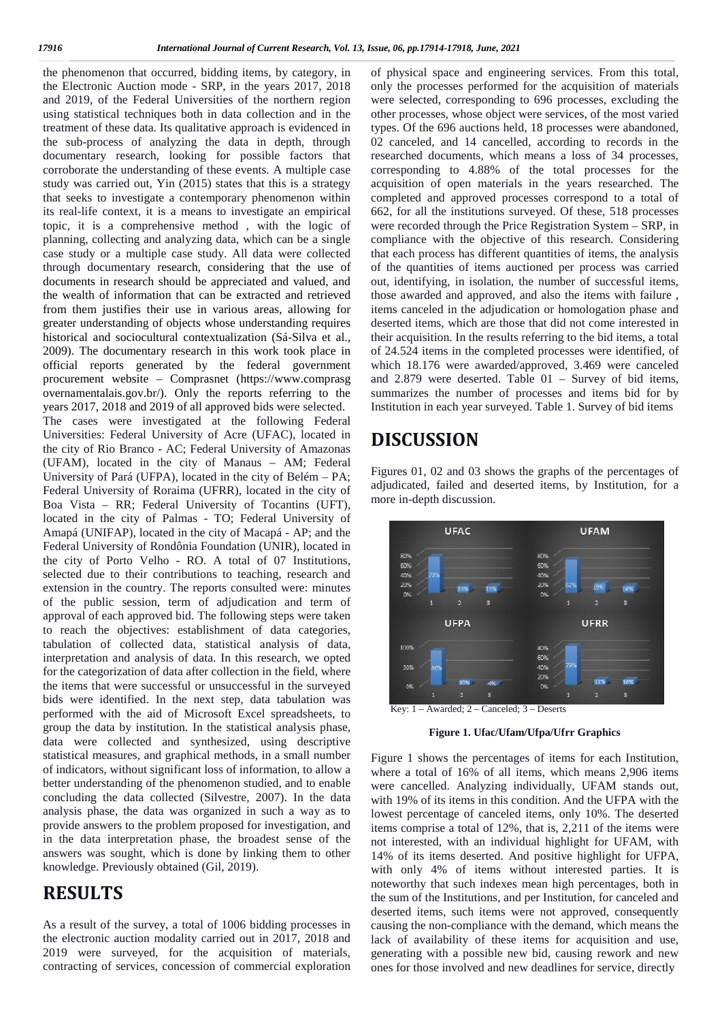the phenomenon that occurred, bidding items, by category, in the Electronic Auction mode - SRP, in the years 2017, 2018 and 2019, of the Federal Universities of the northern region using statistical techniques both in data collection and in the treatment of these data. Its qualitative approach is evidenced in the sub-process of analyzing the data in depth, through documentary research, looking for possible factors that corroborate the understanding of these events. A multiple case study was carried out, Yin (2015) states that this is a strategy that seeks to investigate a contemporary phenomenon within its real-life context, it is a means to investigate an empirical topic, it is a comprehensive method , with the logic of planning, collecting and analyzing data, which can be a single case study or a multiple case study. All data were collected through documentary research, considering that the use of documents in research should be appreciated and valued, and the wealth of information that can be extracted and retrieved from them justifies their use in various areas, allowing for greater understanding of objects whose understanding requires historical and sociocultural contextualization (Sá-Silva et al., 2009). The documentary research in this work took place in official reports generated by the federal government procurement website – Comprasnet (https://www.comprasg overnamentalais.gov.br/). Only the reports referring to the years 2017, 2018 and 2019 of all approved bids were selected. The cases were investigated at the following Federal Universities: Federal University of Acre (UFAC), located in the city of Rio Branco - AC; Federal University of Amazonas (UFAM), located in the city of Manaus – AM; Federal University of Pará (UFPA), located in the city of Belém – PA; Federal University of Roraima (UFRR), located in the city of Boa Vista – RR; Federal University of Tocantins (UFT), located in the city of Palmas - TO; Federal University of Amapá (UNIFAP), located in the city of Macapá - AP; and the Federal University of Rondônia Foundation (UNIR), located in the city of Porto Velho - RO. A total of 07 Institutions, selected due to their contributions to teaching, research and extension in the country. The reports consulted were: minutes of the public session, term of adjudication and term of approval of each approved bid. The following steps were taken to reach the objectives: establishment of data categories, tabulation of collected data, statistical analysis of data, interpretation and analysis of data. In this research, we opted for the categorization of data after collection in the field, where the items that were successful or unsuccessful in the surveyed bids were identified. In the next step, data tabulation was performed with the aid of Microsoft Excel spreadsheets, to group the data by institution. In the statistical analysis phase, data were collected and synthesized, using descriptive statistical measures, and graphical methods, in a small number of indicators, without significant loss of information, to allow a better understanding of the phenomenon studied, and to enable concluding the data collected (Silvestre, 2007). In the data analysis phase, the data was organized in such a way as to provide answers to the problem proposed for investigation, and in the data interpretation phase, the broadest sense of the answers was sought, which is done by linking them to other knowledge. Previously obtained (Gil, 2019).

#### **RESULTS**

As a result of the survey, a total of 1006 bidding processes in the electronic auction modality carried out in 2017, 2018 and 2019 were surveyed, for the acquisition of materials, contracting of services, concession of commercial exploration of physical space and engineering services. From this total, only the processes performed for the acquisition of materials were selected, corresponding to 696 processes, excluding the other processes, whose object were services, of the most varied types. Of the 696 auctions held, 18 processes were abandoned, 02 canceled, and 14 cancelled, according to records in the researched documents, which means a loss of 34 processes, corresponding to 4.88% of the total processes for the acquisition of open materials in the years researched. The completed and approved processes correspond to a total of 662, for all the institutions surveyed. Of these, 518 processes were recorded through the Price Registration System – SRP, in compliance with the objective of this research. Considering that each process has different quantities of items, the analysis of the quantities of items auctioned per process was carried out, identifying, in isolation, the number of successful items, those awarded and approved, and also the items with failure , items canceled in the adjudication or homologation phase and deserted items, which are those that did not come interested in their acquisition. In the results referring to the bid items, a total of 24.524 items in the completed processes were identified, of which 18.176 were awarded/approved, 3.469 were canceled and 2.879 were deserted. Table 01 – Survey of bid items, summarizes the number of processes and items bid for by Institution in each year surveyed. Table 1. Survey of bid items

### **DISCUSSION**

Figures 01, 02 and 03 shows the graphs of the percentages of adjudicated, failed and deserted items, by Institution, for a more in-depth discussion.



Key: 1 – Awarded; 2 – Canceled; 3 – Deserts

**Figure 1. Ufac/Ufam/Ufpa/Ufrr Graphics**

Figure 1 shows the percentages of items for each Institution, where a total of 16% of all items, which means 2,906 items were cancelled. Analyzing individually, UFAM stands out, with 19% of its items in this condition. And the UFPA with the lowest percentage of canceled items, only 10%. The deserted items comprise a total of 12%, that is, 2,211 of the items were not interested, with an individual highlight for UFAM, with 14% of its items deserted. And positive highlight for UFPA, with only 4% of items without interested parties. It is noteworthy that such indexes mean high percentages, both in the sum of the Institutions, and per Institution, for canceled and deserted items, such items were not approved, consequently causing the non-compliance with the demand, which means the lack of availability of these items for acquisition and use, generating with a possible new bid, causing rework and new ones for those involved and new deadlines for service, directly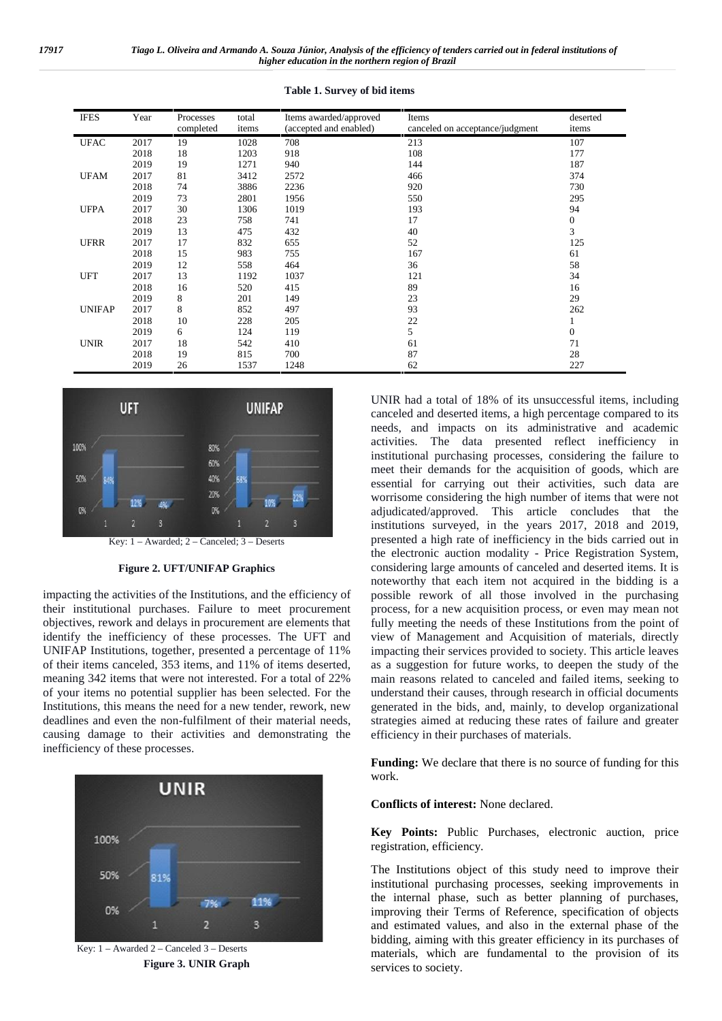| <b>IFES</b>   | Year | Processes<br>completed | total<br>items | Items awarded/approved<br>(accepted and enabled) | Items<br>canceled on acceptance/judgment | deserted<br>items |
|---------------|------|------------------------|----------------|--------------------------------------------------|------------------------------------------|-------------------|
| <b>UFAC</b>   | 2017 | 19                     | 1028           | 708                                              | 213                                      | 107               |
|               | 2018 | 18                     | 1203           | 918                                              | 108                                      | 177               |
|               | 2019 | 19                     | 1271           | 940                                              | 144                                      | 187               |
| <b>UFAM</b>   | 2017 | 81                     | 3412           | 2572                                             | 466                                      | 374               |
|               | 2018 | 74                     | 3886           | 2236                                             | 920                                      | 730               |
|               | 2019 | 73                     | 2801           | 1956                                             | 550                                      | 295               |
| <b>UFPA</b>   | 2017 | 30                     | 1306           | 1019                                             | 193                                      | 94                |
|               | 2018 | 23                     | 758            | 741                                              | 17                                       | $\boldsymbol{0}$  |
|               | 2019 | 13                     | 475            | 432                                              | 40                                       | 3                 |
| <b>UFRR</b>   | 2017 | 17                     | 832            | 655                                              | 52                                       | 125               |
|               | 2018 | 15                     | 983            | 755                                              | 167                                      | 61                |
|               | 2019 | 12                     | 558            | 464                                              | 36                                       | 58                |
| <b>UFT</b>    | 2017 | 13                     | 1192           | 1037                                             | 121                                      | 34                |
|               | 2018 | 16                     | 520            | 415                                              | 89                                       | 16                |
|               | 2019 | 8                      | 201            | 149                                              | 23                                       | 29                |
| <b>UNIFAP</b> | 2017 | 8                      | 852            | 497                                              | 93                                       | 262               |
|               | 2018 | 10                     | 228            | 205                                              | 22                                       |                   |
|               | 2019 | 6                      | 124            | 119                                              | 5                                        | $\mathbf{0}$      |
| <b>UNIR</b>   | 2017 | 18                     | 542            | 410                                              | 61                                       | 71                |
|               | 2018 | 19                     | 815            | 700                                              | 87                                       | 28                |
|               | 2019 | 26                     | 1537           | 1248                                             | 62                                       | 227               |

**Table 1. Survey of bid items**



Key: 1 – Awarded; 2 – Canceled; 3 – Deserts

#### **Figure 2. UFT/UNIFAP Graphics**

impacting the activities of the Institutions, and the efficiency of their institutional purchases. Failure to meet procurement objectives, rework and delays in procurement are elements that identify the inefficiency of these processes. The UFT and UNIFAP Institutions, together, presented a percentage of 11% of their items canceled, 353 items, and 11% of items deserted, meaning 342 items that were not interested. For a total of 22% of your items no potential supplier has been selected. For the Institutions, this means the need for a new tender, rework, new deadlines and even the non-fulfilment of their material needs, causing damage to their activities and demonstrating the inefficiency of these processes.



Key: 1 – Awarded 2 – Canceled 3 – Deserts **Figure 3. UNIR Graph**

UNIR had a total of 18% of its unsuccessful items, including canceled and deserted items, a high percentage compared to its needs, and impacts on its administrative and academic activities. The data presented reflect inefficiency in institutional purchasing processes, considering the failure to meet their demands for the acquisition of goods, which are essential for carrying out their activities, such data are worrisome considering the high number of items that were not adjudicated/approved. This article concludes that the institutions surveyed, in the years 2017, 2018 and 2019, presented a high rate of inefficiency in the bids carried out in the electronic auction modality - Price Registration System, considering large amounts of canceled and deserted items. It is noteworthy that each item not acquired in the bidding is a possible rework of all those involved in the purchasing process, for a new acquisition process, or even may mean not fully meeting the needs of these Institutions from the point of view of Management and Acquisition of materials, directly impacting their services provided to society. This article leaves as a suggestion for future works, to deepen the study of the main reasons related to canceled and failed items, seeking to understand their causes, through research in official documents generated in the bids, and, mainly, to develop organizational strategies aimed at reducing these rates of failure and greater efficiency in their purchases of materials.

**Funding:** We declare that there is no source of funding for this work.

**Conflicts of interest:** None declared.

**Key Points:** Public Purchases, electronic auction, price registration, efficiency.

The Institutions object of this study need to improve their institutional purchasing processes, seeking improvements in the internal phase, such as better planning of purchases, improving their Terms of Reference, specification of objects and estimated values, and also in the external phase of the bidding, aiming with this greater efficiency in its purchases of materials, which are fundamental to the provision of its services to society.